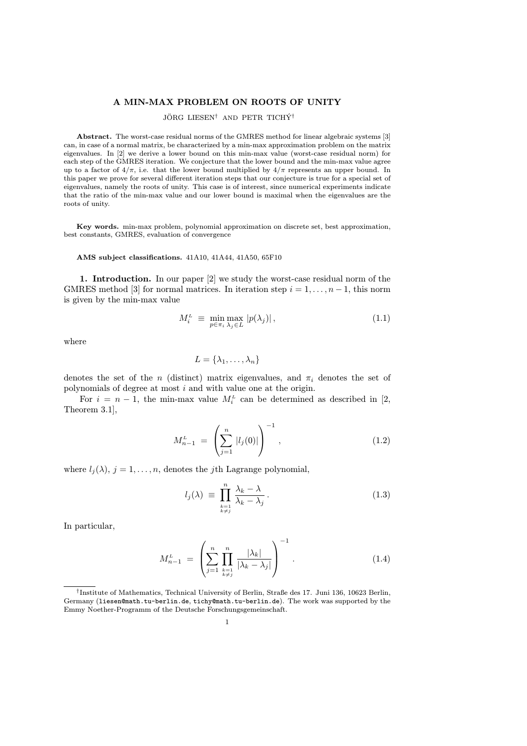## A MIN-MAX PROBLEM ON ROOTS OF UNITY

# JÖRG LIESEN<sup>†</sup> AND PETR TICHÝ<sup>†</sup>

Abstract. The worst-case residual norms of the GMRES method for linear algebraic systems [3] can, in case of a normal matrix, be characterized by a min-max approximation problem on the matrix eigenvalues. In [2] we derive a lower bound on this min-max value (worst-case residual norm) for each step of the GMRES iteration. We conjecture that the lower bound and the min-max value agree up to a factor of  $4/\pi$ , i.e. that the lower bound multiplied by  $4/\pi$  represents an upper bound. In this paper we prove for several different iteration steps that our conjecture is true for a special set of eigenvalues, namely the roots of unity. This case is of interest, since numerical experiments indicate that the ratio of the min-max value and our lower bound is maximal when the eigenvalues are the roots of unity.

Key words. min-max problem, polynomial approximation on discrete set, best approximation, best constants, GMRES, evaluation of convergence

#### AMS subject classifications. 41A10, 41A44, 41A50, 65F10

1. Introduction. In our paper [2] we study the worst-case residual norm of the GMRES method [3] for normal matrices. In iteration step  $i = 1, \ldots, n - 1$ , this norm is given by the min-max value

$$
M_i^L \equiv \min_{p \in \pi_i} \max_{\lambda_j \in L} |p(\lambda_j)|,\tag{1.1}
$$

where

$$
L = \{\lambda_1, \ldots, \lambda_n\}
$$

denotes the set of the n (distinct) matrix eigenvalues, and  $\pi_i$  denotes the set of polynomials of degree at most i and with value one at the origin.

For  $i = n - 1$ , the min-max value  $M_i^L$  can be determined as described in [2, Theorem 3.1],

$$
M_{n-1}^L = \left(\sum_{j=1}^n |l_j(0)|\right)^{-1}, \qquad (1.2)
$$

where  $l_j(\lambda)$ ,  $j = 1, \ldots, n$ , denotes the *j*th Lagrange polynomial,

$$
l_j(\lambda) \equiv \prod_{\substack{k=1\\k \neq j}}^n \frac{\lambda_k - \lambda}{\lambda_k - \lambda_j} \,. \tag{1.3}
$$

In particular,

$$
M_{n-1}^L = \left(\sum_{j=1}^n \prod_{\substack{k=1 \ k \neq j}}^n \frac{|\lambda_k|}{|\lambda_k - \lambda_j|}\right)^{-1}.
$$
 (1.4)

<sup>†</sup> Institute of Mathematics, Technical University of Berlin, Straße des 17. Juni 136, 10623 Berlin, Germany (liesen@math.tu-berlin.de, tichy@math.tu-berlin.de). The work was supported by the Emmy Noether-Programm of the Deutsche Forschungsgemeinschaft.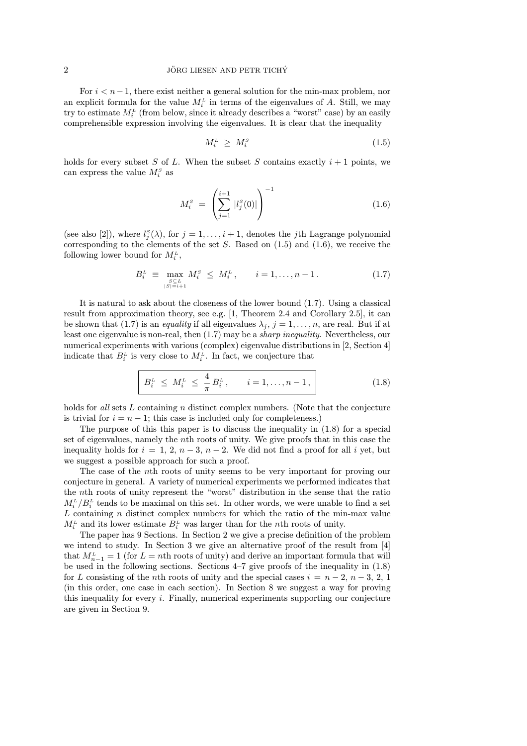## $10^{\circ}$  JÖRG LIESEN AND PETR TICHY

For  $i < n-1$ , there exist neither a general solution for the min-max problem, nor an explicit formula for the value  $M_i^L$  in terms of the eigenvalues of A. Still, we may try to estimate  $M_i^L$  (from below, since it already describes a "worst" case) by an easily comprehensible expression involving the eigenvalues. It is clear that the inequality

$$
M_i^L \geq M_i^S \tag{1.5}
$$

holds for every subset S of L. When the subset S contains exactly  $i+1$  points, we can express the value  $M_i^s$  as

$$
M_i^s = \left(\sum_{j=1}^{i+1} |l_j^s(0)|\right)^{-1} \tag{1.6}
$$

(see also [2]), where  $l_j^s(\lambda)$ , for  $j = 1, \ldots, i + 1$ , denotes the j<sup>th</sup> Lagrange polynomial corresponding to the elements of the set  $S$ . Based on  $(1.5)$  and  $(1.6)$ , we receive the following lower bound for  $M_i^L$ ,

$$
B_i^L \equiv \max_{\substack{S \subseteq L \\ |S| = i+1}} M_i^S \le M_i^L, \qquad i = 1, \dots, n-1. \tag{1.7}
$$

It is natural to ask about the closeness of the lower bound (1.7). Using a classical result from approximation theory, see e.g. [1, Theorem 2.4 and Corollary 2.5], it can be shown that (1.7) is an *equality* if all eigenvalues  $\lambda_j$ ,  $j = 1, \ldots, n$ , are real. But if at least one eigenvalue is non-real, then (1.7) may be a sharp inequality. Nevertheless, our numerical experiments with various (complex) eigenvalue distributions in [2, Section 4] indicate that  $B_i^L$  is very close to  $M_i^L$ . In fact, we conjecture that

$$
B_i^L \le M_i^L \le \frac{4}{\pi} B_i^L, \qquad i = 1, \dots, n-1,
$$
 (1.8)

holds for all sets L containing n distinct complex numbers. (Note that the conjecture is trivial for  $i = n - 1$ ; this case is included only for completeness.)

The purpose of this this paper is to discuss the inequality in (1.8) for a special set of eigenvalues, namely the nth roots of unity. We give proofs that in this case the inequality holds for  $i = 1, 2, n-3, n-2$ . We did not find a proof for all i yet, but we suggest a possible approach for such a proof.

The case of the nth roots of unity seems to be very important for proving our conjecture in general. A variety of numerical experiments we performed indicates that the nth roots of unity represent the "worst" distribution in the sense that the ratio  $M_i^L/B_i^L$  tends to be maximal on this set. In other words, we were unable to find a set  $L$  containing  $n$  distinct complex numbers for which the ratio of the min-max value  $M_i^L$  and its lower estimate  $B_i^L$  was larger than for the *n*th roots of unity.

The paper has 9 Sections. In Section 2 we give a precise definition of the problem we intend to study. In Section 3 we give an alternative proof of the result from [4] that  $M_{n-1}^L = 1$  (for  $L = n$ th roots of unity) and derive an important formula that will be used in the following sections. Sections 4–7 give proofs of the inequality in (1.8) for L consisting of the nth roots of unity and the special cases  $i = n - 2, n - 3, 2, 1$ (in this order, one case in each section). In Section 8 we suggest a way for proving this inequality for every i. Finally, numerical experiments supporting our conjecture are given in Section 9.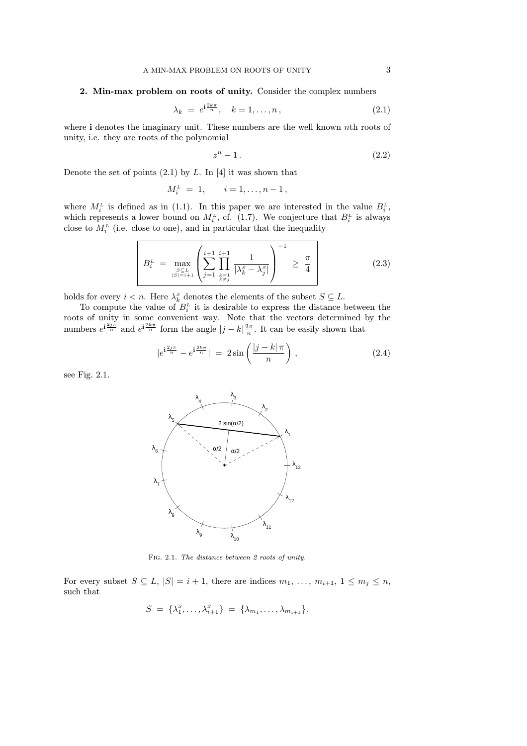## 2. Min-max problem on roots of unity. Consider the complex numbers

$$
\lambda_k = e^{i\frac{2k\pi}{n}}, \quad k = 1, \dots, n, \tag{2.1}
$$

where i denotes the imaginary unit. These numbers are the well known nth roots of unity, i.e. they are roots of the polynomial

$$
z^n - 1. \tag{2.2}
$$

Denote the set of points  $(2.1)$  by L. In [4] it was shown that

$$
M_i^L = 1, \t i = 1, \ldots, n-1,
$$

where  $M_i^L$  is defined as in (1.1). In this paper we are interested in the value  $B_i^L$ , which represents a lower bound on  $M_i^L$ , cf. (1.7). We conjecture that  $B_i^L$  is always close to  $M_i^{\mu}$  (i.e. close to one), and in particular that the inequality

$$
B_i^L = \max_{\substack{S \subseteq L \\ |S| = i+1}} \left( \sum_{j=1}^{i+1} \prod_{\substack{k=1 \\ k \neq j}}^{i+1} \frac{1}{|\lambda_k^S - \lambda_j^S|} \right)^{-1} \ge \frac{\pi}{4}
$$
 (2.3)

holds for every  $i < n$ . Here  $\lambda_k^s$  denotes the elements of the subset  $S \subseteq L$ .

To compute the value of  $B_i^L$  it is desirable to express the distance between the roots of unity in some convenient way. Note that the vectors determined by the numbers  $e^{i\frac{2j\pi}{n}}$  and  $e^{i\frac{2k\pi}{n}}$  form the angle  $|j-k|\frac{2\pi}{n}$ . It can be easily shown that

$$
|e^{i\frac{2j\pi}{n}} - e^{i\frac{2k\pi}{n}}| = 2\sin\left(\frac{|j-k|\pi}{n}\right),\tag{2.4}
$$

see Fig. 2.1.



Fig. 2.1. The distance between 2 roots of unity.

For every subset  $S \subseteq L$ ,  $|S| = i + 1$ , there are indices  $m_1, \ldots, m_{i+1}, 1 \leq m_j \leq n$ , such that

$$
S = \{\lambda_1^s, \ldots, \lambda_{i+1}^s\} = \{\lambda_{m_1}, \ldots, \lambda_{m_{i+1}}\}.
$$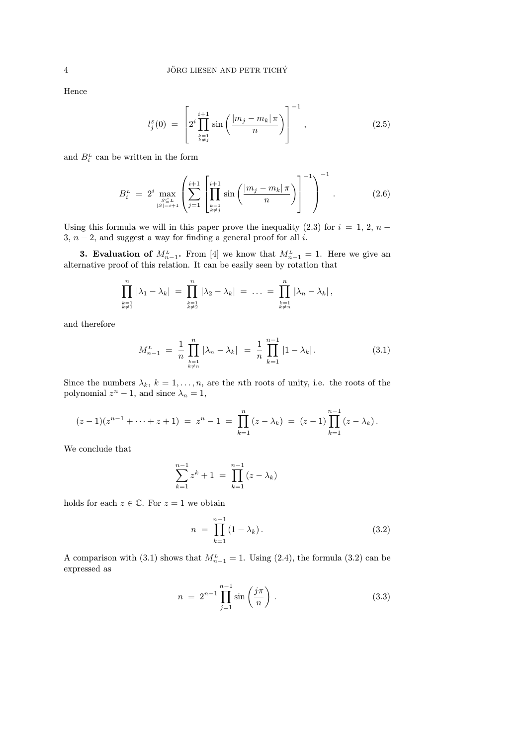Hence

$$
l_j^s(0) = \left[ 2^i \prod_{\substack{k=1\\k \neq j}}^{i+1} \sin \left( \frac{|m_j - m_k| \pi}{n} \right) \right]^{-1}, \qquad (2.5)
$$

and  $B_i^L$  can be written in the form

$$
B_i^L = 2^i \max_{\substack{S \subseteq L \\ |S| = i+1}} \left( \sum_{j=1}^{i+1} \left[ \prod_{\substack{k=1 \\ k \neq j}}^{i+1} \sin \left( \frac{|m_j - m_k| \pi}{n} \right) \right]^{-1} \right)^{-1} . \tag{2.6}
$$

Using this formula we will in this paper prove the inequality  $(2.3)$  for  $i = 1, 2, n -$ 3,  $n-2$ , and suggest a way for finding a general proof for all i.

**3. Evaluation of**  $M_{n-1}^L$ . From [4] we know that  $M_{n-1}^L = 1$ . Here we give an alternative proof of this relation. It can be easily seen by rotation that

$$
\prod_{\substack{k=1\\k\neq 1}}^n |\lambda_1 - \lambda_k| = \prod_{\substack{k=1\\k\neq 2}}^n |\lambda_2 - \lambda_k| = \ldots = \prod_{\substack{k=1\\k\neq n}}^n |\lambda_n - \lambda_k|,
$$

and therefore

$$
M_{n-1}^{L} = \frac{1}{n} \prod_{\substack{k=1\\k \neq n}}^{n} |\lambda_{n} - \lambda_{k}| = \frac{1}{n} \prod_{k=1}^{n-1} |1 - \lambda_{k}|.
$$
 (3.1)

Since the numbers  $\lambda_k$ ,  $k = 1, \ldots, n$ , are the *n*th roots of unity, i.e. the roots of the polynomial  $z^n - 1$ , and since  $\lambda_n = 1$ ,

$$
(z-1)(z^{n-1}+\cdots+z+1) = z^n-1 = \prod_{k=1}^n (z-\lambda_k) = (z-1)\prod_{k=1}^{n-1} (z-\lambda_k).
$$

We conclude that

$$
\sum_{k=1}^{n-1} z^{k} + 1 = \prod_{k=1}^{n-1} (z - \lambda_{k})
$$

holds for each  $z \in \mathbb{C}$ . For  $z = 1$  we obtain

$$
n = \prod_{k=1}^{n-1} (1 - \lambda_k).
$$
 (3.2)

A comparison with (3.1) shows that  $M_{n-1}^L = 1$ . Using (2.4), the formula (3.2) can be expressed as

$$
n = 2^{n-1} \prod_{j=1}^{n-1} \sin\left(\frac{j\pi}{n}\right).
$$
 (3.3)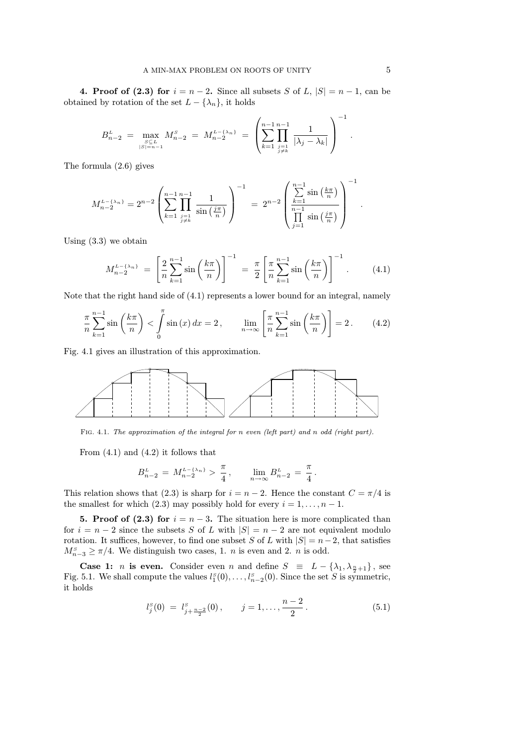4. Proof of (2.3) for  $i = n - 2$ . Since all subsets S of L,  $|S| = n - 1$ , can be obtained by rotation of the set  $L - \{\lambda_n\}$ , it holds

$$
B_{n-2}^{\mathcal{L}} = \max_{\substack{S \subseteq \mathcal{L} \\ |S| = n-1}} M_{n-2}^{S} = M_{n-2}^{\mathcal{L} - \{\lambda_n\}} = \left( \sum_{k=1}^{n-1} \prod_{\substack{j=1 \\ j \neq k}}^{n-1} \frac{1}{|\lambda_j - \lambda_k|} \right)^{-1}.
$$

The formula (2.6) gives

$$
M_{n-2}^{L-\{\lambda_n\}} = 2^{n-2} \left( \sum_{k=1}^{n-1} \prod_{\substack{j=1 \ j \neq k}}^{n-1} \frac{1}{\sin\left(\frac{j\pi}{n}\right)} \right)^{-1} = 2^{n-2} \left( \frac{\sum_{k=1}^{n-1} \sin\left(\frac{k\pi}{n}\right)}{\prod_{j=1}^{n-1} \sin\left(\frac{j\pi}{n}\right)} \right)^{-1}
$$

Using (3.3) we obtain

$$
M_{n-2}^{L-\{\lambda_n\}} = \left[\frac{2}{n} \sum_{k=1}^{n-1} \sin\left(\frac{k\pi}{n}\right)\right]^{-1} = \frac{\pi}{2} \left[\frac{\pi}{n} \sum_{k=1}^{n-1} \sin\left(\frac{k\pi}{n}\right)\right]^{-1}.
$$
 (4.1)

Note that the right hand side of  $(4.1)$  represents a lower bound for an integral, namely

$$
\frac{\pi}{n}\sum_{k=1}^{n-1}\sin\left(\frac{k\pi}{n}\right) < \int_{0}^{\pi}\sin\left(x\right)dx = 2\,, \qquad \lim_{n\to\infty}\left[\frac{\pi}{n}\sum_{k=1}^{n-1}\sin\left(\frac{k\pi}{n}\right)\right] = 2\,. \tag{4.2}
$$

Fig. 4.1 gives an illustration of this approximation.



Fig. 4.1. The approximation of the integral for n even (left part) and n odd (right part).

From  $(4.1)$  and  $(4.2)$  it follows that

$$
B_{n-2}^{\mathcal{L}} = M_{n-2}^{\mathcal{L} - \{\lambda_n\}} > \frac{\pi}{4}, \qquad \lim_{n \to \infty} B_{n-2}^{\mathcal{L}} = \frac{\pi}{4}.
$$

This relation shows that (2.3) is sharp for  $i = n - 2$ . Hence the constant  $C = \pi/4$  is the smallest for which (2.3) may possibly hold for every  $i = 1, \ldots, n - 1$ .

5. Proof of (2.3) for  $i = n - 3$ . The situation here is more complicated than for  $i = n - 2$  since the subsets S of L with  $|S| = n - 2$  are not equivalent modulo rotation. It suffices, however, to find one subset S of L with  $|S| = n-2$ , that satisfies  $M_{n-3}^s \geq \pi/4$ . We distinguish two cases, 1. *n* is even and 2. *n* is odd.

**Case 1:** *n* is even. Consider even *n* and define  $S \equiv L - {\lambda_1, \lambda_{\frac{n}{2}+1}}$ , see Fig. 5.1. We shall compute the values  $l_1^S(0), \ldots, l_{n-2}^S(0)$ . Since the set S is symmetric, it holds

$$
l_j^s(0) = l_{j+\frac{n-2}{2}}^s(0), \qquad j = 1, \dots, \frac{n-2}{2}.
$$
 (5.1)

.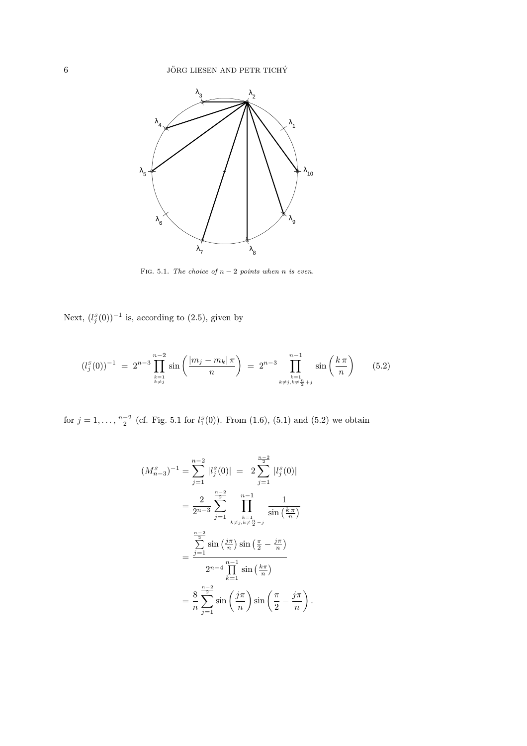

FIG. 5.1. The choice of  $n-2$  points when n is even.

Next,  $(l_j^s(0))^{-1}$  is, according to  $(2.5)$ , given by

$$
(l_j^S(0))^{-1} = 2^{n-3} \prod_{\substack{k=1\\k \neq j}}^{n-2} \sin\left(\frac{|m_j - m_k|\pi}{n}\right) = 2^{n-3} \prod_{\substack{k=1\\k \neq j, k \neq \frac{n}{2}+j}}^{n-1} \sin\left(\frac{k\pi}{n}\right) \qquad (5.2)
$$

for  $j = 1, \ldots, \frac{n-2}{2}$  (cf. Fig. 5.1 for  $l_1^s(0)$ ). From  $(1.6)$ ,  $(5.1)$  and  $(5.2)$  we obtain

$$
(M_{n-3}^s)^{-1} = \sum_{j=1}^{n-2} |l_j^s(0)| = 2 \sum_{j=1}^{\frac{n-2}{2}} |l_j^s(0)|
$$
  
= 
$$
\frac{2}{2^{n-3}} \sum_{j=1}^{\frac{n-2}{2}} \prod_{\substack{k=1 \ k \neq j, k \neq \frac{n}{2}-j}}^{n-1} \frac{1}{\sin(\frac{k\pi}{n})}
$$
  
= 
$$
\frac{\sum_{j=1}^{\frac{n-2}{2}} \sin(\frac{j\pi}{n}) \sin(\frac{\pi}{2} - \frac{j\pi}{n})}{2^{n-4} \prod_{k=1}^{\frac{n-1}{2}} \sin(\frac{k\pi}{n})}
$$
  
= 
$$
\frac{8}{n} \sum_{j=1}^{\frac{n-2}{2}} \sin(\frac{j\pi}{n}) \sin(\frac{\pi}{2} - \frac{j\pi}{n}).
$$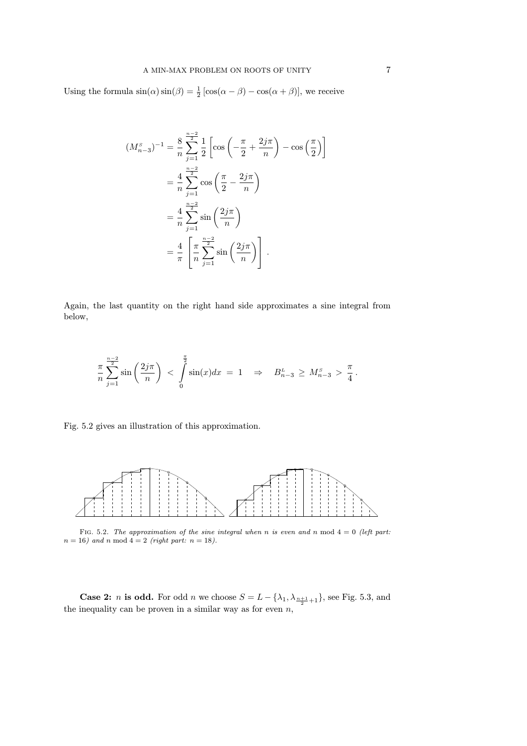Using the formula  $\sin(\alpha)\sin(\beta) = \frac{1}{2} [\cos(\alpha - \beta) - \cos(\alpha + \beta)],$  we receive

$$
(M_{n-3}^s)^{-1} = \frac{8}{n} \sum_{j=1}^{\frac{n-2}{2}} \frac{1}{2} \left[ \cos \left( -\frac{\pi}{2} + \frac{2j\pi}{n} \right) - \cos \left( \frac{\pi}{2} \right) \right]
$$
  
=  $\frac{4}{n} \sum_{j=1}^{\frac{n-2}{2}} \cos \left( \frac{\pi}{2} - \frac{2j\pi}{n} \right)$   
=  $\frac{4}{n} \sum_{j=1}^{\frac{n-2}{2}} \sin \left( \frac{2j\pi}{n} \right)$   
=  $\frac{4}{\pi} \left[ \frac{\pi}{n} \sum_{j=1}^{\frac{n-2}{2}} \sin \left( \frac{2j\pi}{n} \right) \right].$ 

Again, the last quantity on the right hand side approximates a sine integral from below,

$$
\frac{\pi}{n} \sum_{j=1}^{\frac{n-2}{2}} \sin\left(\frac{2j\pi}{n}\right) < \int_{0}^{\frac{\pi}{2}} \sin(x) dx = 1 \quad \Rightarrow \quad B_{n-3}^L \ge M_{n-3}^S > \frac{\pi}{4} \, .
$$

Fig. 5.2 gives an illustration of this approximation.



FIG. 5.2. The approximation of the sine integral when n is even and n mod  $4 = 0$  (left part:  $n = 16$ ) and n mod  $4 = 2$  (right part:  $n = 18$ ).

**Case 2:** *n* is odd. For odd *n* we choose  $S = L - \{\lambda_1, \lambda_{\frac{n+1}{2}+1}\}\$ , see Fig. 5.3, and the inequality can be proven in a similar way as for even  $n$ ,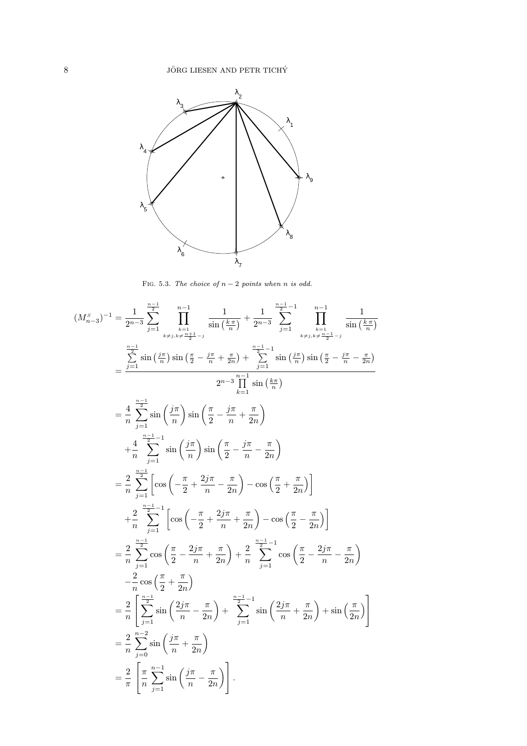

FIG. 5.3. The choice of  $n-2$  points when n is odd.

$$
(M_{n-3}^s)^{-1} = \frac{1}{2^{n-3}} \sum_{j=1}^{\frac{n-1}{2}} \prod_{k \neq j, k \neq \frac{n+1}{2} - j}^{\frac{n-1}{2}} \frac{1}{\sin\left(\frac{k\pi}{n}\right)} + \frac{1}{2^{n-3}} \sum_{j=1}^{\frac{n-1}{2} - 1} \prod_{k \neq j, k \neq \frac{n-1}{2} - j}^{\frac{n-1}{2}} \frac{1}{\sin\left(\frac{k\pi}{n}\right)}
$$
  
\n
$$
= \frac{\sum_{j=1}^{\frac{n-1}{2}} \sin\left(\frac{j\pi}{n}\right) \sin\left(\frac{\pi}{2} - \frac{j\pi}{n} + \frac{\pi}{2n}\right)}{2^{n-3} \prod_{k=1}^{\frac{n-1}{2}} \sin\left(\frac{j\pi}{n}\right) \sin\left(\frac{\pi}{2} - \frac{j\pi}{n} + \frac{\pi}{2n}\right)}
$$
  
\n
$$
= \frac{4}{n} \sum_{j=1}^{\frac{n-1}{2}} \sin\left(\frac{j\pi}{n}\right) \sin\left(\frac{\pi}{2} - \frac{j\pi}{n} + \frac{\pi}{2n}\right)
$$
  
\n
$$
= \frac{2}{n} \sum_{j=1}^{\frac{n-1}{2}} \left[\cos\left(-\frac{\pi}{2} + \frac{2j\pi}{n} - \frac{\pi}{2n}\right) - \cos\left(\frac{\pi}{2} + \frac{\pi}{2n}\right)\right]
$$
  
\n
$$
= \frac{2}{n} \sum_{j=1}^{\frac{n-1}{2}} \left[\cos\left(-\frac{\pi}{2} + \frac{2j\pi}{n} + \frac{\pi}{2n}\right) - \cos\left(\frac{\pi}{2} + \frac{\pi}{2n}\right)\right]
$$
  
\n
$$
= \frac{2}{n} \sum_{j=1}^{\frac{n-1}{2}} \cos\left(\frac{\pi}{2} - \frac{2j\pi}{n} + \frac{\pi}{2n}\right) + \frac{2}{n} \sum_{j=1}^{\frac{n-1}{2} - 1} \cos\left(\frac{\pi}{2} - \frac{2j\pi}{n} - \frac{\pi}{2n}\right)
$$
  
\n
$$
= \frac{2}{n} \sum_{j=1}^{\frac{n-1}{2}} \cos\left
$$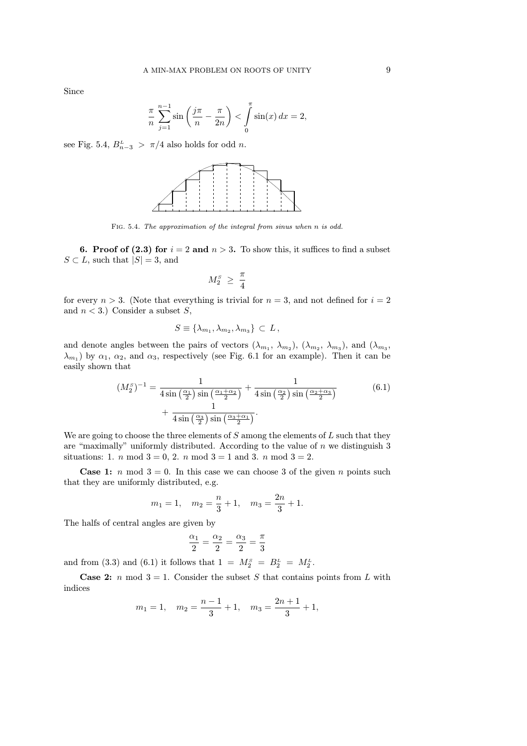Since

$$
\frac{\pi}{n} \sum_{j=1}^{n-1} \sin\left(\frac{j\pi}{n} - \frac{\pi}{2n}\right) < \int_{0}^{\pi} \sin(x) \, dx = 2,
$$

see Fig. 5.4,  $B_{n-3}^L > \pi/4$  also holds for odd *n*.



Fig. 5.4. The approximation of the integral from sinus when n is odd.

6. Proof of (2.3) for  $i = 2$  and  $n > 3$ . To show this, it suffices to find a subset  $S \subset L$ , such that  $|S| = 3$ , and

$$
M_2^{\scriptscriptstyle S}~\geq~\frac{\pi}{4}
$$

for every  $n > 3$ . (Note that everything is trivial for  $n = 3$ , and not defined for  $i = 2$ and  $n < 3$ .) Consider a subset S,

$$
S \equiv \{\lambda_{m_1}, \lambda_{m_2}, \lambda_{m_3}\} \subset L,
$$

and denote angles between the pairs of vectors  $(\lambda_{m_1}, \lambda_{m_2}), (\lambda_{m_2}, \lambda_{m_3}),$  and  $(\lambda_{m_3}, \lambda_{m_4})$  $(\lambda_{m_1})$  by  $\alpha_1, \alpha_2$ , and  $\alpha_3$ , respectively (see Fig. 6.1 for an example). Then it can be easily shown that

$$
(M_2^S)^{-1} = \frac{1}{4\sin\left(\frac{\alpha_1}{2}\right)\sin\left(\frac{\alpha_1 + \alpha_2}{2}\right)} + \frac{1}{4\sin\left(\frac{\alpha_2}{2}\right)\sin\left(\frac{\alpha_2 + \alpha_3}{2}\right)} + \frac{1}{4\sin\left(\frac{\alpha_3}{2}\right)\sin\left(\frac{\alpha_3 + \alpha_1}{2}\right)}.
$$
(6.1)

We are going to choose the three elements of  $S$  among the elements of  $L$  such that they are "maximally" uniformly distributed. According to the value of  $n$  we distinguish 3 situations: 1. *n* mod  $3 = 0, 2$ . *n* mod  $3 = 1$  and 3. *n* mod  $3 = 2$ .

**Case 1:** n mod  $3 = 0$ . In this case we can choose 3 of the given n points such that they are uniformly distributed, e.g.

$$
m_1 = 1
$$
,  $m_2 = \frac{n}{3} + 1$ ,  $m_3 = \frac{2n}{3} + 1$ .

The halfs of central angles are given by

$$
\frac{\alpha_1}{2} = \frac{\alpha_2}{2} = \frac{\alpha_3}{2} = \frac{\pi}{3}
$$

and from (3.3) and (6.1) it follows that  $1 = M_2^s = B_2^L = M_2^L$ .

**Case 2:** n mod  $3 = 1$ . Consider the subset S that contains points from L with indices

$$
m_1 = 1
$$
,  $m_2 = \frac{n-1}{3} + 1$ ,  $m_3 = \frac{2n+1}{3} + 1$ ,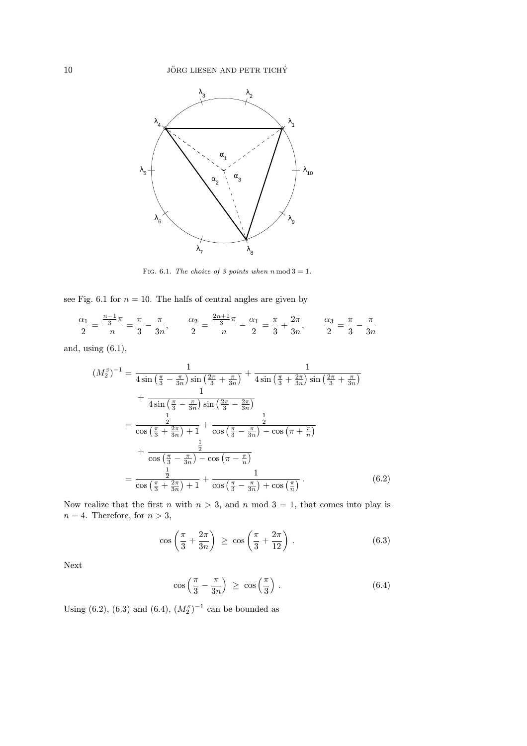

FIG. 6.1. The choice of 3 points when  $n \mod 3 = 1$ .

see Fig. 6.1 for  $n = 10$ . The halfs of central angles are given by

$$
\frac{\alpha_1}{2} = \frac{\frac{n-1}{3}\pi}{n} = \frac{\pi}{3} - \frac{\pi}{3n}, \qquad \frac{\alpha_2}{2} = \frac{\frac{2n+1}{3}\pi}{n} - \frac{\alpha_1}{2} = \frac{\pi}{3} + \frac{2\pi}{3n}, \qquad \frac{\alpha_3}{2} = \frac{\pi}{3} - \frac{\pi}{3n}
$$

and, using (6.1),

$$
(M_2^S)^{-1} = \frac{1}{4\sin\left(\frac{\pi}{3} - \frac{\pi}{3n}\right)\sin\left(\frac{2\pi}{3} + \frac{\pi}{3n}\right)} + \frac{1}{4\sin\left(\frac{\pi}{3} + \frac{2\pi}{3n}\right)\sin\left(\frac{2\pi}{3} + \frac{\pi}{3n}\right)} + \frac{1}{4\sin\left(\frac{\pi}{3} - \frac{\pi}{3n}\right)\sin\left(\frac{2\pi}{3} - \frac{2\pi}{3n}\right)} = \frac{\frac{1}{2}}{\cos\left(\frac{\pi}{3} + \frac{2\pi}{3n}\right) + 1} + \frac{\frac{1}{2}}{\cos\left(\frac{\pi}{3} - \frac{\pi}{3n}\right) - \cos\left(\pi + \frac{\pi}{n}\right)} + \frac{\frac{1}{2}}{\cos\left(\frac{\pi}{3} - \frac{\pi}{3n}\right) - \cos\left(\pi - \frac{\pi}{n}\right)} = \frac{\frac{1}{2}}{\cos\left(\frac{\pi}{3} + \frac{2\pi}{3n}\right) + 1} + \frac{1}{\cos\left(\frac{\pi}{3} - \frac{\pi}{3n}\right) + \cos\left(\frac{\pi}{n}\right)}.
$$
(6.2)

Now realize that the first n with  $n > 3$ , and n mod  $3 = 1$ , that comes into play is  $n = 4$ . Therefore, for  $n > 3$ ,

$$
\cos\left(\frac{\pi}{3} + \frac{2\pi}{3n}\right) \ge \cos\left(\frac{\pi}{3} + \frac{2\pi}{12}\right). \tag{6.3}
$$

Next

$$
\cos\left(\frac{\pi}{3} - \frac{\pi}{3n}\right) \ge \cos\left(\frac{\pi}{3}\right). \tag{6.4}
$$

Using (6.2), (6.3) and (6.4),  $(M_2^S)^{-1}$  can be bounded as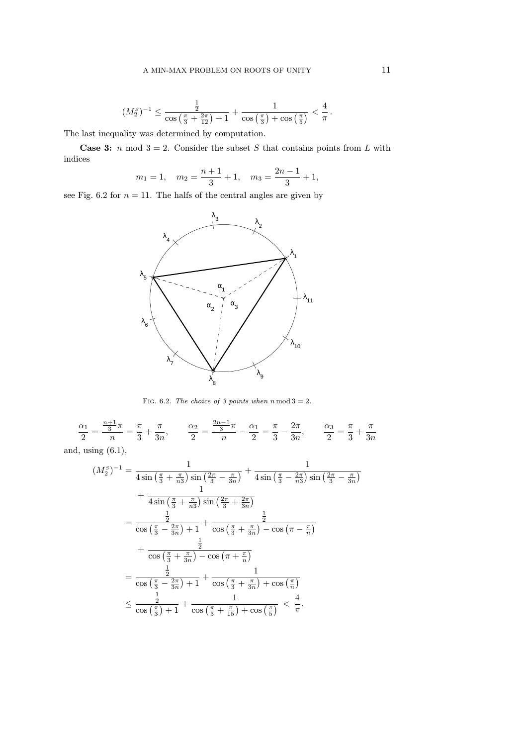$$
(M_2^s)^{-1} \le \frac{\frac{1}{2}}{\cos\left(\frac{\pi}{3} + \frac{2\pi}{12}\right) + 1} + \frac{1}{\cos\left(\frac{\pi}{3}\right) + \cos\left(\frac{\pi}{5}\right)} < \frac{4}{\pi}.
$$

The last inequality was determined by computation.

**Case 3:** n mod  $3 = 2$ . Consider the subset S that contains points from L with indices

$$
m_1 = 1
$$
,  $m_2 = \frac{n+1}{3} + 1$ ,  $m_3 = \frac{2n-1}{3} + 1$ ,

see Fig. 6.2 for  $n = 11$ . The halfs of the central angles are given by



FIG. 6.2. The choice of 3 points when  $n \mod 3 = 2$ .

$$
\frac{\alpha_1}{2} = \frac{\frac{n+1}{3}\pi}{n} = \frac{\pi}{3} + \frac{\pi}{3n}, \qquad \frac{\alpha_2}{2} = \frac{\frac{2n-1}{3}\pi}{n} - \frac{\alpha_1}{2} = \frac{\pi}{3} - \frac{2\pi}{3n}, \qquad \frac{\alpha_3}{2} = \frac{\pi}{3} + \frac{\pi}{3n}
$$

and, using  $(6.1)$ ,

$$
(M_2^S)^{-1} = \frac{1}{4\sin\left(\frac{\pi}{3} + \frac{\pi}{n3}\right)\sin\left(\frac{2\pi}{3} - \frac{\pi}{3n}\right)} + \frac{1}{4\sin\left(\frac{\pi}{3} - \frac{2\pi}{n3}\right)\sin\left(\frac{2\pi}{3} - \frac{\pi}{3n}\right)}
$$
  
+ 
$$
\frac{1}{4\sin\left(\frac{\pi}{3} + \frac{\pi}{n3}\right)\sin\left(\frac{2\pi}{3} + \frac{2\pi}{3n}\right)}
$$
  
= 
$$
\frac{\frac{1}{2}}{\cos\left(\frac{\pi}{3} - \frac{2\pi}{3n}\right) + 1} + \frac{\frac{1}{2}}{\cos\left(\frac{\pi}{3} + \frac{\pi}{3n}\right) - \cos\left(\pi - \frac{\pi}{n}\right)}
$$
  
+ 
$$
\frac{\frac{1}{2}}{\cos\left(\frac{\pi}{3} + \frac{\pi}{3n}\right) - \cos\left(\pi + \frac{\pi}{n}\right)}
$$
  
= 
$$
\frac{\frac{1}{2}}{\cos\left(\frac{\pi}{3} - \frac{2\pi}{3n}\right) + 1} + \frac{1}{\cos\left(\frac{\pi}{3} + \frac{\pi}{3n}\right) + \cos\left(\frac{\pi}{n}\right)}
$$
  

$$
\leq \frac{\frac{1}{2}}{\cos\left(\frac{\pi}{3}\right) + 1} + \frac{1}{\cos\left(\frac{\pi}{3} + \frac{\pi}{15}\right) + \cos\left(\frac{\pi}{5}\right)} < \frac{4}{\pi}.
$$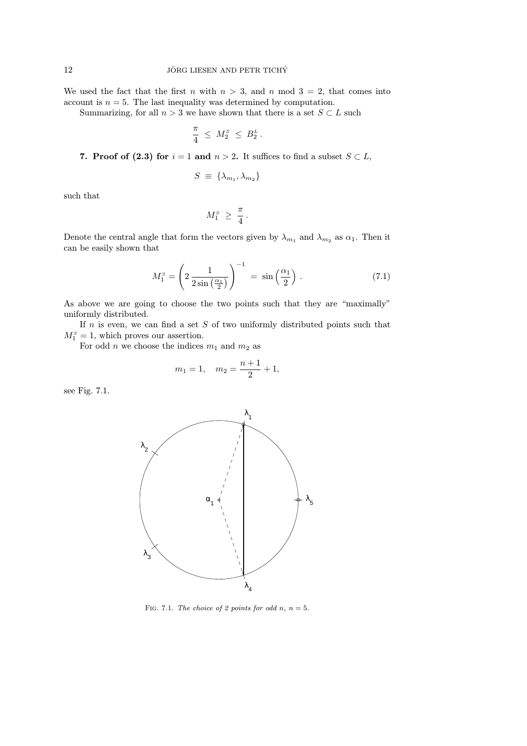We used the fact that the first n with  $n > 3$ , and n mod  $3 = 2$ , that comes into account is  $n = 5$ . The last inequality was determined by computation.

Summarizing, for all  $n > 3$  we have shown that there is a set  $S \subset L$  such

$$
\frac{\pi}{4} \leq M_2^{\scriptscriptstyle S} \leq B_2^{\scriptscriptstyle L} \, .
$$

7. Proof of (2.3) for  $i = 1$  and  $n > 2$ . It suffices to find a subset  $S \subset L$ ,

$$
S \equiv \{\lambda_{m_1}, \lambda_{m_2}\}
$$

such that

$$
M_1^{\scriptscriptstyle S} \ \geq\ \frac{\pi}{4} \, .
$$

Denote the central angle that form the vectors given by  $\lambda_{m_1}$  and  $\lambda_{m_2}$  as  $\alpha_1$ . Then it can be easily shown that

$$
M_1^s = \left(2\,\frac{1}{2\sin\left(\frac{\alpha_1}{2}\right)}\right)^{-1} = \sin\left(\frac{\alpha_1}{2}\right). \tag{7.1}
$$

As above we are going to choose the two points such that they are "maximally" uniformly distributed.

If  $n$  is even, we can find a set  $S$  of two uniformly distributed points such that  $M_1^s = 1$ , which proves our assertion.

For odd n we choose the indices  $m_1$  and  $m_2$  as

$$
m_1 = 1
$$
,  $m_2 = \frac{n+1}{2} + 1$ ,

see Fig. 7.1.



FIG. 7.1. The choice of 2 points for odd n,  $n = 5$ .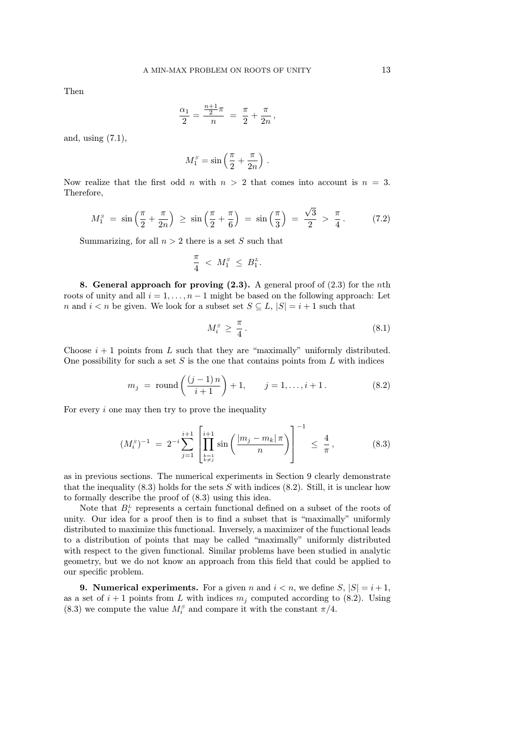Then

$$
\frac{\alpha_1}{2} = \frac{\frac{n+1}{2}\pi}{n} = \frac{\pi}{2} + \frac{\pi}{2n},
$$

and, using (7.1),

$$
M_1^s = \sin\left(\frac{\pi}{2} + \frac{\pi}{2n}\right).
$$

Now realize that the first odd n with  $n > 2$  that comes into account is  $n = 3$ . Therefore,

$$
M_1^s = \sin\left(\frac{\pi}{2} + \frac{\pi}{2n}\right) \ge \sin\left(\frac{\pi}{2} + \frac{\pi}{6}\right) = \sin\left(\frac{\pi}{3}\right) = \frac{\sqrt{3}}{2} > \frac{\pi}{4}.
$$
 (7.2)

Summarizing, for all  $n > 2$  there is a set S such that

$$
\frac{\pi}{4} < M_1^{\scriptscriptstyle S} \leq B_1^{\scriptscriptstyle L}.
$$

8. General approach for proving  $(2.3)$ . A general proof of  $(2.3)$  for the nth roots of unity and all  $i = 1, \ldots, n - 1$  might be based on the following approach: Let n and  $i < n$  be given. We look for a subset set  $S \subseteq L$ ,  $|S| = i + 1$  such that

$$
M_i^s \ge \frac{\pi}{4} \,. \tag{8.1}
$$

Choose  $i + 1$  points from L such that they are "maximally" uniformly distributed. One possibility for such a set  $S$  is the one that contains points from  $L$  with indices

$$
m_j = \text{round}\left(\frac{(j-1)n}{i+1}\right) + 1, \quad j = 1, ..., i+1.
$$
 (8.2)

For every  $i$  one may then try to prove the inequality

$$
(M_i^s)^{-1} = 2^{-i} \sum_{j=1}^{i+1} \left[ \prod_{\substack{k=1 \ k \neq j}}^{i+1} \sin \left( \frac{|m_j - m_k| \pi}{n} \right) \right]^{-1} \le \frac{4}{\pi}, \quad (8.3)
$$

as in previous sections. The numerical experiments in Section 9 clearly demonstrate that the inequality  $(8.3)$  holds for the sets S with indices  $(8.2)$ . Still, it is unclear how to formally describe the proof of (8.3) using this idea.

Note that  $B_i^L$  represents a certain functional defined on a subset of the roots of unity. Our idea for a proof then is to find a subset that is "maximally" uniformly distributed to maximize this functional. Inversely, a maximizer of the functional leads to a distribution of points that may be called "maximally" uniformly distributed with respect to the given functional. Similar problems have been studied in analytic geometry, but we do not know an approach from this field that could be applied to our specific problem.

**9. Numerical experiments.** For a given n and  $i < n$ , we define  $S$ ,  $|S| = i + 1$ , as a set of  $i+1$  points from L with indices  $m_i$  computed according to (8.2). Using (8.3) we compute the value  $M_i^s$  and compare it with the constant  $\pi/4$ .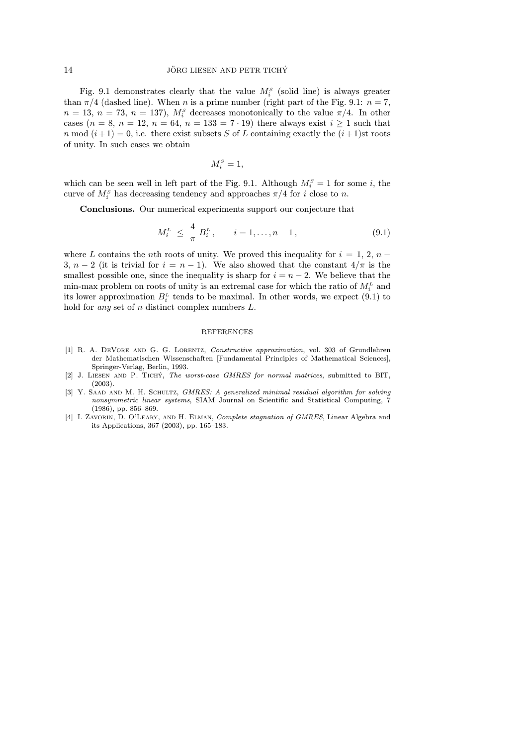Fig. 9.1 demonstrates clearly that the value  $M_i^s$  (solid line) is always greater than  $\pi/4$  (dashed line). When n is a prime number (right part of the Fig. 9.1:  $n = 7$ ,  $n = 13, n = 73, n = 137$ ,  $M_i^s$  decreases monotonically to the value  $\pi/4$ . In other cases ( $n = 8$ ,  $n = 12$ ,  $n = 64$ ,  $n = 133 = 7 \cdot 19$ ) there always exist  $i \ge 1$  such that n mod  $(i+1) = 0$ , i.e. there exist subsets S of L containing exactly the  $(i+1)$ st roots of unity. In such cases we obtain

$$
M_i^s=1,
$$

which can be seen well in left part of the Fig. 9.1. Although  $M_i^s = 1$  for some i, the curve of  $M_i^s$  has decreasing tendency and approaches  $\pi/4$  for i close to n.

Conclusions. Our numerical experiments support our conjecture that

$$
M_i^L \leq \frac{4}{\pi} B_i^L, \qquad i = 1, \dots, n-1, \tag{9.1}
$$

where L contains the nth roots of unity. We proved this inequality for  $i = 1, 2, n -$ 3,  $n-2$  (it is trivial for  $i = n-1$ ). We also showed that the constant  $4/\pi$  is the smallest possible one, since the inequality is sharp for  $i = n - 2$ . We believe that the min-max problem on roots of unity is an extremal case for which the ratio of  $M_i^L$  and its lower approximation  $B_i^L$  tends to be maximal. In other words, we expect (9.1) to hold for *any* set of  $n$  distinct complex numbers  $L$ .

#### REFERENCES

- [1] R. A. DeVore and G. G. Lorentz, Constructive approximation, vol. 303 of Grundlehren der Mathematischen Wissenschaften [Fundamental Principles of Mathematical Sciences], Springer-Verlag, Berlin, 1993.
- [2] J. LIESEN AND P. TICHY, The worst-case GMRES for normal matrices, submitted to BIT, (2003).
- [3] Y. SAAD AND M. H. SCHULTZ, GMRES: A generalized minimal residual algorithm for solving nonsymmetric linear systems, SIAM Journal on Scientific and Statistical Computing, 7 (1986), pp. 856–869.
- [4] I. ZAVORIN, D. O'LEARY, AND H. ELMAN, Complete stagnation of GMRES, Linear Algebra and its Applications, 367 (2003), pp. 165–183.